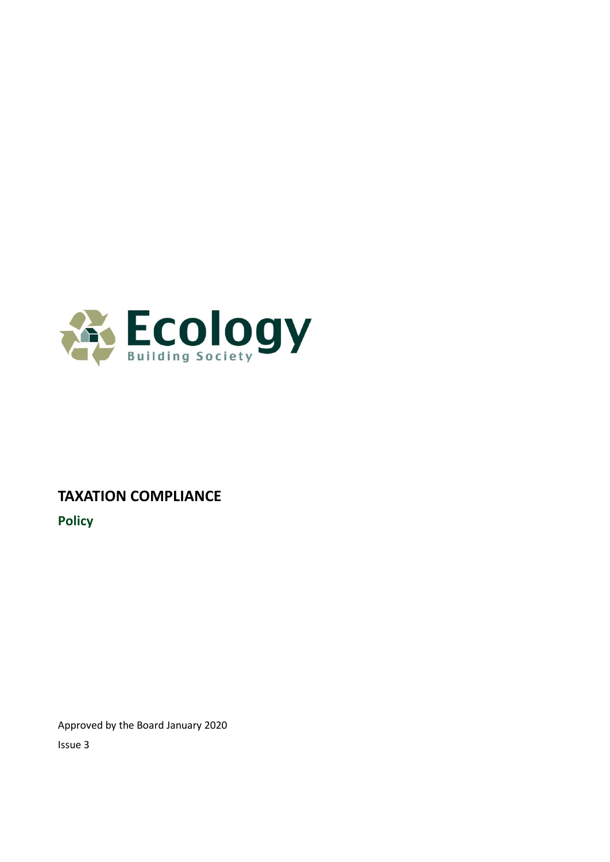

# **TAXATION COMPLIANCE**

**Policy**

Approved by the Board January 2020 Issue 3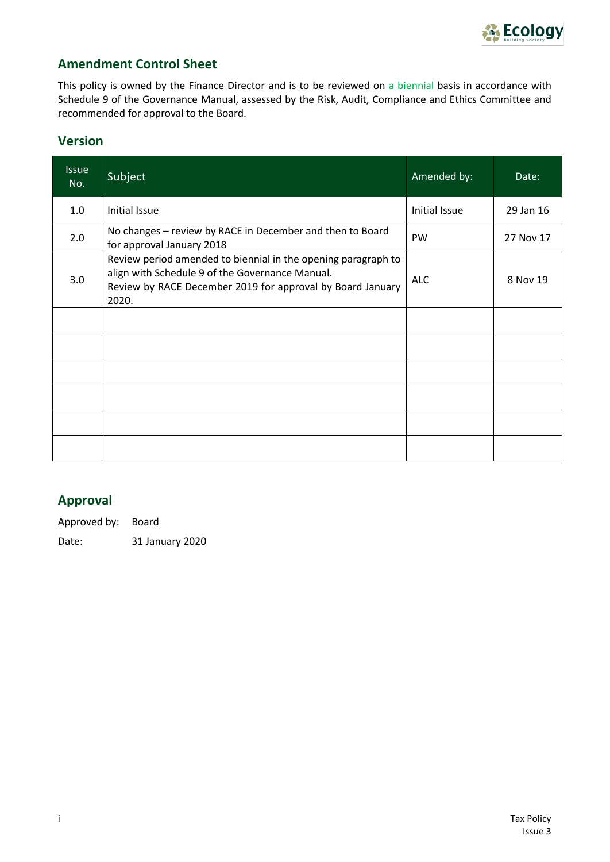

#### **Amendment Control Sheet**

This policy is owned by the Finance Director and is to be reviewed on a biennial basis in accordance with Schedule 9 of the Governance Manual, assessed by the Risk, Audit, Compliance and Ethics Committee and recommended for approval to the Board.

#### **Version**

| <b>Issue</b><br>No. | Subject                                                                                                                                                                                 | Amended by:   | Date:     |
|---------------------|-----------------------------------------------------------------------------------------------------------------------------------------------------------------------------------------|---------------|-----------|
| 1.0                 | Initial Issue                                                                                                                                                                           | Initial Issue | 29 Jan 16 |
| 2.0                 | No changes - review by RACE in December and then to Board<br>for approval January 2018                                                                                                  | PW            | 27 Nov 17 |
| 3.0                 | Review period amended to biennial in the opening paragraph to<br>align with Schedule 9 of the Governance Manual.<br>Review by RACE December 2019 for approval by Board January<br>2020. | <b>ALC</b>    | 8 Nov 19  |
|                     |                                                                                                                                                                                         |               |           |
|                     |                                                                                                                                                                                         |               |           |
|                     |                                                                                                                                                                                         |               |           |
|                     |                                                                                                                                                                                         |               |           |
|                     |                                                                                                                                                                                         |               |           |
|                     |                                                                                                                                                                                         |               |           |

# **Approval**

Approved by: Board

Date: 31 January 2020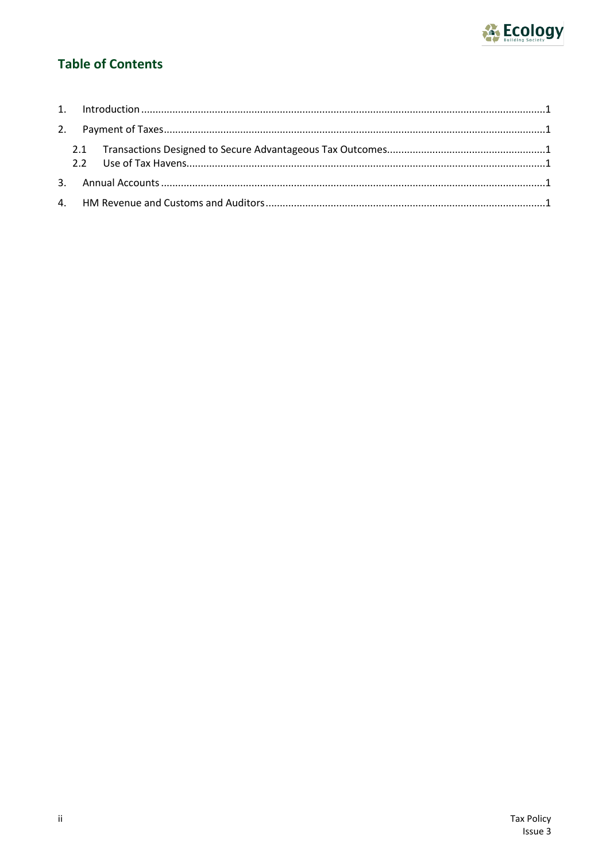

# **Table of Contents**